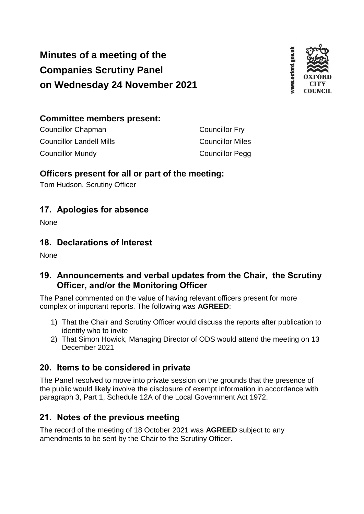# **Minutes of a meeting of the Companies Scrutiny Panel on Wednesday 24 November 2021**



## **Committee members present:**

| Councillor Chapman       | <b>Councillor Fry</b>   |
|--------------------------|-------------------------|
| Councillor Landell Mills | <b>Councillor Miles</b> |
| Councillor Mundy         | <b>Councillor Pegg</b>  |

### **Officers present for all or part of the meeting:**

Tom Hudson, Scrutiny Officer

# **17. Apologies for absence**

None

### **18. Declarations of Interest**

None

# **19. Announcements and verbal updates from the Chair, the Scrutiny Officer, and/or the Monitoring Officer**

The Panel commented on the value of having relevant officers present for more complex or important reports. The following was **AGREED**:

- 1) That the Chair and Scrutiny Officer would discuss the reports after publication to identify who to invite
- 2) That Simon Howick, Managing Director of ODS would attend the meeting on 13 December 2021

# **20. Items to be considered in private**

The Panel resolved to move into private session on the grounds that the presence of the public would likely involve the disclosure of exempt information in accordance with paragraph 3, Part 1, Schedule 12A of the Local Government Act 1972.

# **21. Notes of the previous meeting**

The record of the meeting of 18 October 2021 was **AGREED** subject to any amendments to be sent by the Chair to the Scrutiny Officer.